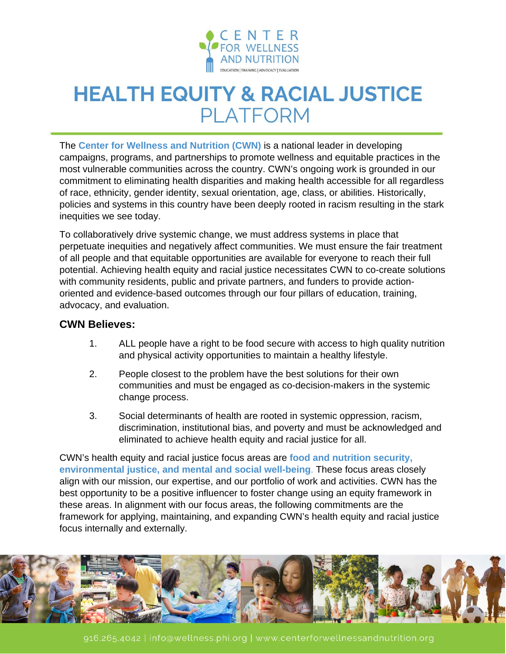

## **HEALTH EQUITY & RACIAL JUSTICE PLATFORM**

The **Center for Wellness and Nutrition (CWN)** is a national leader in developing campaigns, programs, and partnerships to promote wellness and equitable practices in the most vulnerable communities across the country. CWN's ongoing work is grounded in our commitment to eliminating health disparities and making health accessible for all regardless of race, ethnicity, gender identity, sexual orientation, age, class, or abilities. Historically, policies and systems in this country have been deeply rooted in racism resulting in the stark inequities we see today.

To collaboratively drive systemic change, we must address systems in place that perpetuate inequities and negatively affect communities. We must ensure the fair treatment of all people and that equitable opportunities are available for everyone to reach their full potential. Achieving health equity and racial justice necessitates CWN to co-create solutions with community residents, public and private partners, and funders to provide actionoriented and evidence-based outcomes through our four pillars of education, training, advocacy, and evaluation.

## **CWN Believes:**

- 1. ALL people have a right to be food secure with access to high quality nutrition and physical activity opportunities to maintain a healthy lifestyle.
- 2. People closest to the problem have the best solutions for their own communities and must be engaged as co-decision-makers in the systemic change process.
- 3. Social determinants of health are rooted in systemic oppression, racism, discrimination, institutional bias, and poverty and must be acknowledged and eliminated to achieve health equity and racial justice for all.

CWN's health equity and racial justice focus areas are **food and nutrition security, environmental justice, and mental and social well-being**. These focus areas closely align with our mission, our expertise, and our portfolio of work and activities. CWN has the best opportunity to be a positive influencer to foster change using an equity framework in these areas. In alignment with our focus areas, the following commitments are the framework for applying, maintaining, and expanding CWN's health equity and racial justice focus internally and externally.